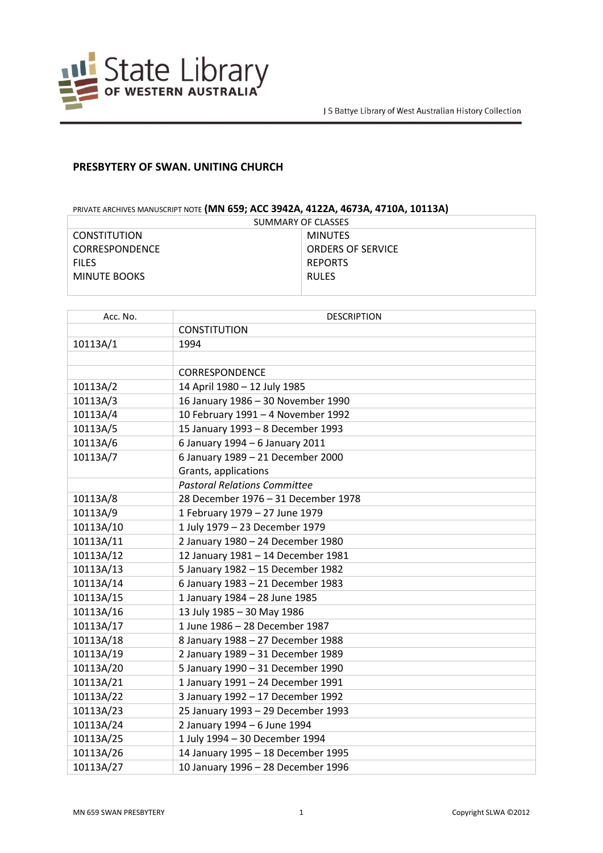

## **PRESBYTERY OF SWAN. UNITING CHURCH**

## PRIVATE ARCHIVES MANUSCRIPT NOTE **(MN 659; ACC 3942A, 4122A, 4673A, 4710A, 10113A)**

| SUMMARY OF CLASSES    |                          |  |
|-----------------------|--------------------------|--|
| <b>CONSTITUTION</b>   | <b>MINUTES</b>           |  |
| <b>CORRESPONDENCE</b> | <b>ORDERS OF SERVICE</b> |  |
| <b>FILES</b>          | <b>REPORTS</b>           |  |
| MINUTE BOOKS          | <b>RULES</b>             |  |
|                       |                          |  |

| Acc. No.  | <b>DESCRIPTION</b>                  |
|-----------|-------------------------------------|
|           | <b>CONSTITUTION</b>                 |
| 10113A/1  | 1994                                |
|           |                                     |
|           | CORRESPONDENCE                      |
| 10113A/2  | 14 April 1980 - 12 July 1985        |
| 10113A/3  | 16 January 1986 - 30 November 1990  |
| 10113A/4  | 10 February 1991 - 4 November 1992  |
| 10113A/5  | 15 January 1993 - 8 December 1993   |
| 10113A/6  | 6 January 1994 - 6 January 2011     |
| 10113A/7  | 6 January 1989 - 21 December 2000   |
|           | Grants, applications                |
|           | <b>Pastoral Relations Committee</b> |
| 10113A/8  | 28 December 1976 - 31 December 1978 |
| 10113A/9  | 1 February 1979 - 27 June 1979      |
| 10113A/10 | 1 July 1979 - 23 December 1979      |
| 10113A/11 | 2 January 1980 - 24 December 1980   |
| 10113A/12 | 12 January 1981 - 14 December 1981  |
| 10113A/13 | 5 January 1982 - 15 December 1982   |
| 10113A/14 | 6 January 1983 - 21 December 1983   |
| 10113A/15 | 1 January 1984 - 28 June 1985       |
| 10113A/16 | 13 July 1985 - 30 May 1986          |
| 10113A/17 | 1 June 1986 - 28 December 1987      |
| 10113A/18 | 8 January 1988 - 27 December 1988   |
| 10113A/19 | 2 January 1989 - 31 December 1989   |
| 10113A/20 | 5 January 1990 - 31 December 1990   |
| 10113A/21 | 1 January 1991 - 24 December 1991   |
| 10113A/22 | 3 January 1992 - 17 December 1992   |
| 10113A/23 | 25 January 1993 - 29 December 1993  |
| 10113A/24 | 2 January 1994 - 6 June 1994        |
| 10113A/25 | 1 July 1994 - 30 December 1994      |
| 10113A/26 | 14 January 1995 - 18 December 1995  |
| 10113A/27 | 10 January 1996 - 28 December 1996  |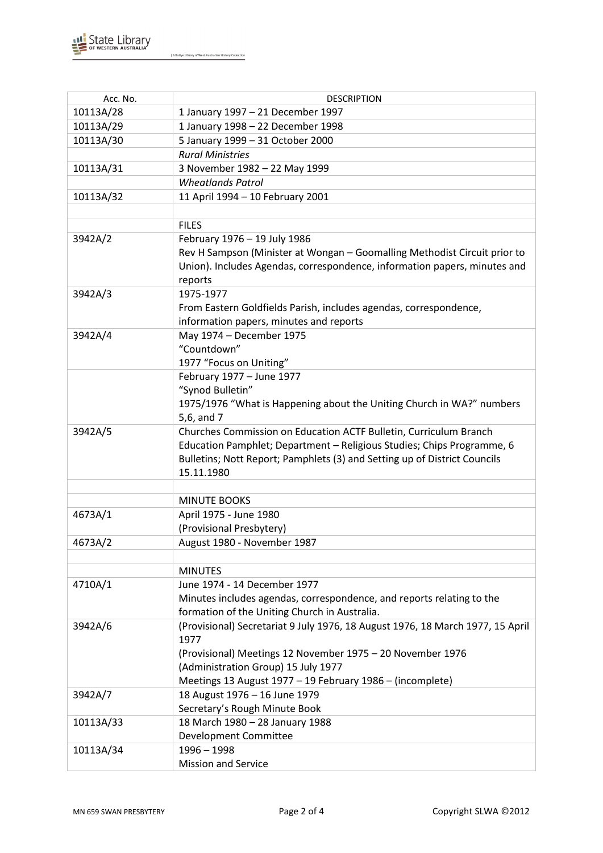

J S Battye Library of West Australian History Collection

| Acc. No.  | <b>DESCRIPTION</b>                                                             |
|-----------|--------------------------------------------------------------------------------|
| 10113A/28 | 1 January 1997 - 21 December 1997                                              |
| 10113A/29 | 1 January 1998 - 22 December 1998                                              |
| 10113A/30 | 5 January 1999 - 31 October 2000                                               |
|           |                                                                                |
|           | <b>Rural Ministries</b>                                                        |
| 10113A/31 | 3 November 1982 - 22 May 1999                                                  |
|           | <b>Wheatlands Patrol</b>                                                       |
| 10113A/32 | 11 April 1994 - 10 February 2001                                               |
|           |                                                                                |
|           | <b>FILES</b>                                                                   |
| 3942A/2   | February 1976 - 19 July 1986                                                   |
|           | Rev H Sampson (Minister at Wongan - Goomalling Methodist Circuit prior to      |
|           | Union). Includes Agendas, correspondence, information papers, minutes and      |
|           | reports                                                                        |
| 3942A/3   | 1975-1977                                                                      |
|           | From Eastern Goldfields Parish, includes agendas, correspondence,              |
|           | information papers, minutes and reports                                        |
| 3942A/4   | May 1974 - December 1975                                                       |
|           | "Countdown"                                                                    |
|           | 1977 "Focus on Uniting"                                                        |
|           | February 1977 - June 1977                                                      |
|           | "Synod Bulletin"                                                               |
|           | 1975/1976 "What is Happening about the Uniting Church in WA?" numbers          |
|           | 5,6, and 7                                                                     |
| 3942A/5   | Churches Commission on Education ACTF Bulletin, Curriculum Branch              |
|           | Education Pamphlet; Department - Religious Studies; Chips Programme, 6         |
|           | Bulletins; Nott Report; Pamphlets (3) and Setting up of District Councils      |
|           | 15.11.1980                                                                     |
|           |                                                                                |
|           | <b>MINUTE BOOKS</b>                                                            |
| 4673A/1   | April 1975 - June 1980                                                         |
|           | (Provisional Presbytery)                                                       |
| 4673A/2   | August 1980 - November 1987                                                    |
|           |                                                                                |
|           | <b>MINUTES</b>                                                                 |
| 4710A/1   | June 1974 - 14 December 1977                                                   |
|           | Minutes includes agendas, correspondence, and reports relating to the          |
|           | formation of the Uniting Church in Australia.                                  |
| 3942A/6   | (Provisional) Secretariat 9 July 1976, 18 August 1976, 18 March 1977, 15 April |
|           | 1977                                                                           |
|           | (Provisional) Meetings 12 November 1975 - 20 November 1976                     |
|           | (Administration Group) 15 July 1977                                            |
|           | Meetings 13 August 1977 - 19 February 1986 - (incomplete)                      |
| 3942A/7   | 18 August 1976 - 16 June 1979                                                  |
|           | Secretary's Rough Minute Book                                                  |
| 10113A/33 | 18 March 1980 - 28 January 1988                                                |
|           | Development Committee                                                          |
| 10113A/34 | $1996 - 1998$                                                                  |
|           | <b>Mission and Service</b>                                                     |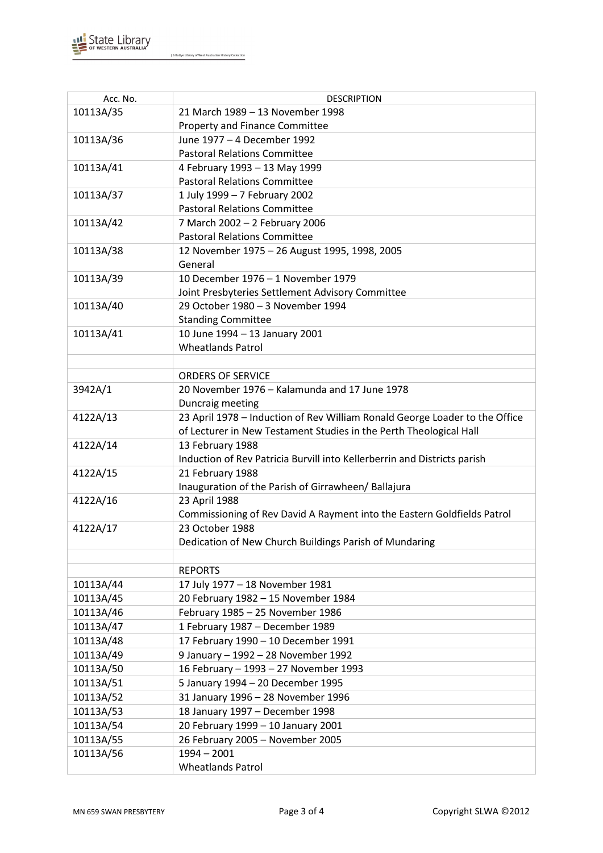

J S Battye Library of West Australian History Collection

| Acc. No.  | <b>DESCRIPTION</b>                                                          |
|-----------|-----------------------------------------------------------------------------|
| 10113A/35 | 21 March 1989 - 13 November 1998                                            |
|           | Property and Finance Committee                                              |
| 10113A/36 | June 1977 - 4 December 1992                                                 |
|           | <b>Pastoral Relations Committee</b>                                         |
| 10113A/41 | 4 February 1993 - 13 May 1999                                               |
|           | <b>Pastoral Relations Committee</b>                                         |
| 10113A/37 | 1 July 1999 - 7 February 2002                                               |
|           | <b>Pastoral Relations Committee</b>                                         |
| 10113A/42 | 7 March 2002 - 2 February 2006                                              |
|           | <b>Pastoral Relations Committee</b>                                         |
| 10113A/38 | 12 November 1975 - 26 August 1995, 1998, 2005                               |
|           | General                                                                     |
| 10113A/39 | 10 December 1976 - 1 November 1979                                          |
|           | Joint Presbyteries Settlement Advisory Committee                            |
| 10113A/40 | 29 October 1980 - 3 November 1994                                           |
|           | <b>Standing Committee</b>                                                   |
| 10113A/41 | 10 June 1994 - 13 January 2001                                              |
|           | <b>Wheatlands Patrol</b>                                                    |
|           |                                                                             |
|           | <b>ORDERS OF SERVICE</b>                                                    |
| 3942A/1   | 20 November 1976 - Kalamunda and 17 June 1978                               |
|           | Duncraig meeting                                                            |
| 4122A/13  | 23 April 1978 - Induction of Rev William Ronald George Loader to the Office |
|           | of Lecturer in New Testament Studies in the Perth Theological Hall          |
| 4122A/14  | 13 February 1988                                                            |
|           | Induction of Rev Patricia Burvill into Kellerberrin and Districts parish    |
| 4122A/15  | 21 February 1988                                                            |
|           | Inauguration of the Parish of Girrawheen/ Ballajura                         |
| 4122A/16  | 23 April 1988                                                               |
|           | Commissioning of Rev David A Rayment into the Eastern Goldfields Patrol     |
| 4122A/17  | 23 October 1988                                                             |
|           | Dedication of New Church Buildings Parish of Mundaring                      |
|           |                                                                             |
|           | <b>REPORTS</b>                                                              |
| 10113A/44 | 17 July 1977 - 18 November 1981                                             |
| 10113A/45 | 20 February 1982 - 15 November 1984                                         |
| 10113A/46 | February 1985 - 25 November 1986                                            |
| 10113A/47 | 1 February 1987 - December 1989                                             |
| 10113A/48 | 17 February 1990 - 10 December 1991                                         |
| 10113A/49 | 9 January - 1992 - 28 November 1992                                         |
| 10113A/50 | 16 February - 1993 - 27 November 1993                                       |
| 10113A/51 | 5 January 1994 - 20 December 1995                                           |
| 10113A/52 | 31 January 1996 - 28 November 1996                                          |
| 10113A/53 | 18 January 1997 - December 1998                                             |
| 10113A/54 | 20 February 1999 - 10 January 2001                                          |
| 10113A/55 | 26 February 2005 - November 2005                                            |
| 10113A/56 | $1994 - 2001$                                                               |
|           | <b>Wheatlands Patrol</b>                                                    |